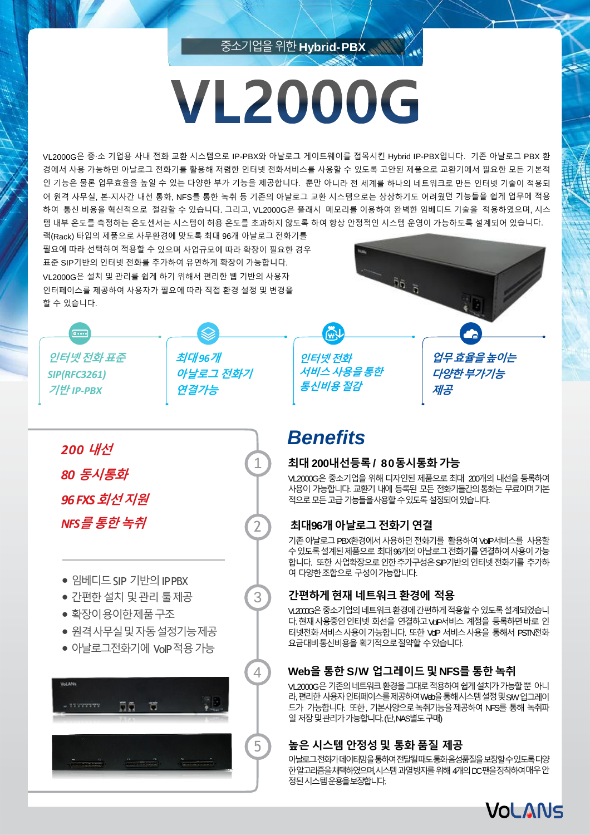# **VL2000G**

중소기업을위한**Hybrid-PBX**

VL2000G은 중∙소 기업용 사내 전화 교환 시스템으로 IP-PBX와 아날로그 게이트웨이를 접목시킨 Hybrid IP-PBX입니다. 기존 아날로그 PBX 환 경에서 사용 가능하던 아날로그 전화기를 활용해 저렴한 인터넷 전화서비스를 사용할 수 있도록 고안된 제품으로 교환기에서 필요한 모든 기본적 인 기능은 물론 업무효율을 높일 수 있는 다양한 부가 기능을 제공합니다. 뿐만 아니라 전 세계를 하나의 네트워크로 만든 인터넷 기술이 적용되 어 원격 사무실, 본-지사간 내선 통화, NFS를 통한 녹취 등 기존의 아날로그 교환 시스템으로는 상상하기도 어려웠던 기능들을 쉽게 업무에 적용 하여 통신 비용을 혁신적으로 절감할 수 있습니다. 그리고, VL2000G은 플래시 메모리를 이용하여 완벽한 임베디드 기술을 적용하였으며, 시스 템 내부 온도를 측정하는 온도센서는 시스템이 허용 온도를 초과하지 않도록 하여 항상 안정적인 시스템 운영이 가능하도록 설계되어 있습니다.

랙(Rack) 타입의 제품으로 사무환경에 맞도록 최대 96개 아날로그 전화기를 필요에 따라 선택하여 적용할 수 있으며 사업규모에 따라 확장이 필요한 경우 표준 SIP기반의 인터넷 전화를 추가하여 유연하게 확장이 가능합니다. VL2000G은 설치 및 관리를 쉽게 하기 위해서 편리한 웹 기반의 사용자 인터페이스를 제공하여 사용자가 필요에 따라 직접 환경 설정 및 변경을 할 수 있습니다.

**최대** *96***개**

**연결가능**

**아날로그 전화기**

**인터넷전화 서비스사용을통한 통신비용절감**

**업무효율을높이는 다양한부가기능 제공**

# *Benefits*

1

2

3

### **최대 200내선등록/ 80동시통화가능**

VL2000G은 중소기업을 위해 디자인된 제품으로 최대 200개의 내선을 등록하여 사용이 가능합니다. 교환기 내에 등록된 모든 전화기들간의통화는 무료이며기본 적으로모든고급기능들을사용할수있도록설정되어있습니다.

## **최대96개아날로그전화기연결**

기존 아날로그 PBX환경에서 사용하던 전화기를 활용하여 VoIP서비스를 사용할 수 있도록 설계된 제품으로 최대 96개의 아날로그 전화기를 연결하여 사용이 가능 합니다. 또한 사업확장으로 인한 추가구성은 SIP기반의 인터넷 전화기를 추가하 여 다양한조합으로 구성이가능합니다.

## **간편하게현재 네트워크환경에 적용**

VL2000G은중소기업의네트워크환경에간편하게적용할수있도록설계되었습니 다. 현재 사용중인 인터넷 회선을 연결하고 VoP서비스 계정을 등록하면 바로 인 터넷전화서비스사용이가능합니다. 또한 VoIP 서비스사용을 통해서 PSTN전화 요금대비통신비용을 획기적으로절약할 수있습니다.

## **Web을 통한 S/W 업그레이드및NFS를 통한녹취**

VL2000G은기존의네트워크환경을그대로적용하여쉽게설치가가능할뿐 아니 라, 편리한 사용자 인터페이스를 제공하여 Web을 통해 시스템 설정 및 SW 업그레이 드가 가능합니다. 또한, 기본사양으로녹취기능을제공하여 NFS를 통해 녹취파 일저장및관리가가능합니다.(단,NAS별도구매)

## **높은 시스템 안정성및 통화 품질 제공**

아날로그전화가데이터망을통하여전달될때도통화음성품질을보장할수있도록다양 한알고리즘을채택하였으며,시스템과열방지를 위해 4개의 DC팬을장착하여매우 안 정된시스템운용을보장합니다.



*200* **내선** *80* **동시통화** *96 FXS* **회선지원** *NFS***를통한녹취**

**인터넷전화표준**

*SIP(RFC3261)* **기반** *IP-PBX*

 $\overline{0}$ 

- 임베디드 SIP 기반의 IPPBX
- 간편한설치 및관리 툴제공
- 확장이용이한제품구조
- 원격사무실및자동설정기능제공
- 아날로그전화기에 VoIP적용가능